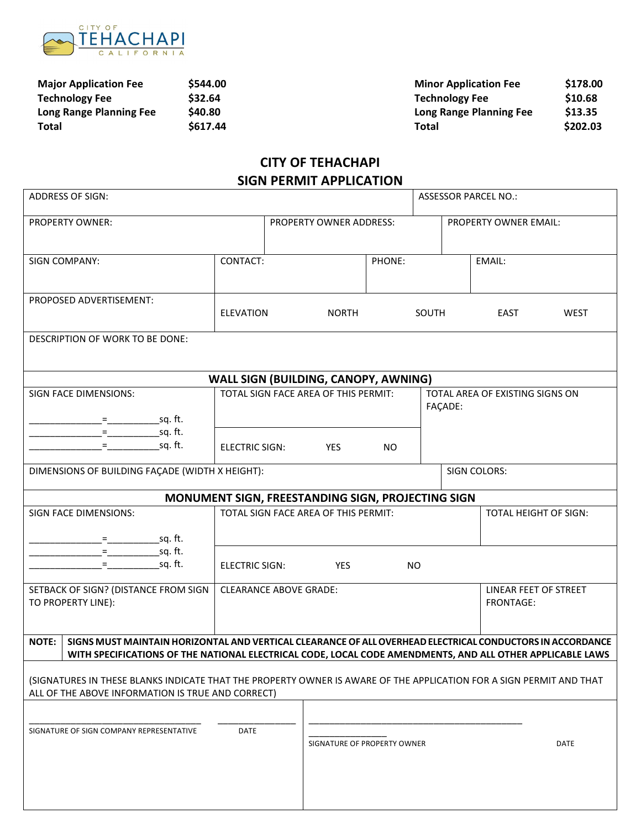

| <b>Major Application Fee</b> | \$544.00 | <b>Minor Application Fee</b> | \$178.00 |
|------------------------------|----------|------------------------------|----------|
| <b>Technology Fee</b>        | \$32.64  | <b>Technology Fee</b>        | \$10.68  |
| Long Range Planning Fee      | \$40.80  | Long Range Planning Fee      | \$13.35  |
| Total                        | \$617.44 | Total                        | \$202.03 |

## **CITY OF TEHACHAPI SIGN PERMIT APPLICATION**

| ADDRESS OF SIGN:                                                                                                                                                                                                                       |                               |                                |                                                   |           |                                            |  | <b>ASSESSOR PARCEL NO.:</b>        |             |
|----------------------------------------------------------------------------------------------------------------------------------------------------------------------------------------------------------------------------------------|-------------------------------|--------------------------------|---------------------------------------------------|-----------|--------------------------------------------|--|------------------------------------|-------------|
| <b>PROPERTY OWNER:</b>                                                                                                                                                                                                                 |                               | <b>PROPERTY OWNER ADDRESS:</b> |                                                   |           | PROPERTY OWNER EMAIL:                      |  |                                    |             |
| SIGN COMPANY:                                                                                                                                                                                                                          | CONTACT:                      |                                |                                                   | PHONE:    |                                            |  | EMAIL:                             |             |
| PROPOSED ADVERTISEMENT:                                                                                                                                                                                                                | <b>ELEVATION</b>              |                                | <b>NORTH</b>                                      |           | SOUTH                                      |  | EAST                               | <b>WEST</b> |
| DESCRIPTION OF WORK TO BE DONE:                                                                                                                                                                                                        |                               |                                |                                                   |           |                                            |  |                                    |             |
|                                                                                                                                                                                                                                        |                               |                                | WALL SIGN (BUILDING, CANOPY, AWNING)              |           |                                            |  |                                    |             |
| SIGN FACE DIMENSIONS:                                                                                                                                                                                                                  |                               |                                | TOTAL SIGN FACE AREA OF THIS PERMIT:              |           | TOTAL AREA OF EXISTING SIGNS ON<br>FAÇADE: |  |                                    |             |
|                                                                                                                                                                                                                                        | ELECTRIC SIGN:                |                                | YES                                               | <b>NO</b> |                                            |  |                                    |             |
| DIMENSIONS OF BUILDING FAÇADE (WIDTH X HEIGHT):                                                                                                                                                                                        |                               |                                |                                                   |           |                                            |  | <b>SIGN COLORS:</b>                |             |
|                                                                                                                                                                                                                                        |                               |                                | MONUMENT SIGN, FREESTANDING SIGN, PROJECTING SIGN |           |                                            |  |                                    |             |
| <b>SIGN FACE DIMENSIONS:</b>                                                                                                                                                                                                           |                               |                                | TOTAL SIGN FACE AREA OF THIS PERMIT:              |           |                                            |  | TOTAL HEIGHT OF SIGN:              |             |
|                                                                                                                                                                                                                                        | ELECTRIC SIGN:                |                                | <b>YES</b>                                        |           | <b>NO</b>                                  |  |                                    |             |
| SETBACK OF SIGN? (DISTANCE FROM SIGN<br>TO PROPERTY LINE):                                                                                                                                                                             | <b>CLEARANCE ABOVE GRADE:</b> |                                |                                                   |           |                                            |  | LINEAR FEET OF STREET<br>FRONTAGE: |             |
| <b>NOTE:</b><br>SIGNS MUST MAINTAIN HORIZONTAL AND VERTICAL CLEARANCE OF ALL OVERHEAD ELECTRICAL CONDUCTORS IN ACCORDANCE<br>WITH SPECIFICATIONS OF THE NATIONAL ELECTRICAL CODE, LOCAL CODE AMENDMENTS, AND ALL OTHER APPLICABLE LAWS |                               |                                |                                                   |           |                                            |  |                                    |             |
| (SIGNATURES IN THESE BLANKS INDICATE THAT THE PROPERTY OWNER IS AWARE OF THE APPLICATION FOR A SIGN PERMIT AND THAT<br>ALL OF THE ABOVE INFORMATION IS TRUE AND CORRECT)                                                               |                               |                                |                                                   |           |                                            |  |                                    |             |
| SIGNATURE OF SIGN COMPANY REPRESENTATIVE                                                                                                                                                                                               | DATE                          |                                |                                                   |           |                                            |  |                                    |             |
|                                                                                                                                                                                                                                        |                               |                                | SIGNATURE OF PROPERTY OWNER                       |           |                                            |  |                                    | <b>DATE</b> |
|                                                                                                                                                                                                                                        |                               |                                |                                                   |           |                                            |  |                                    |             |